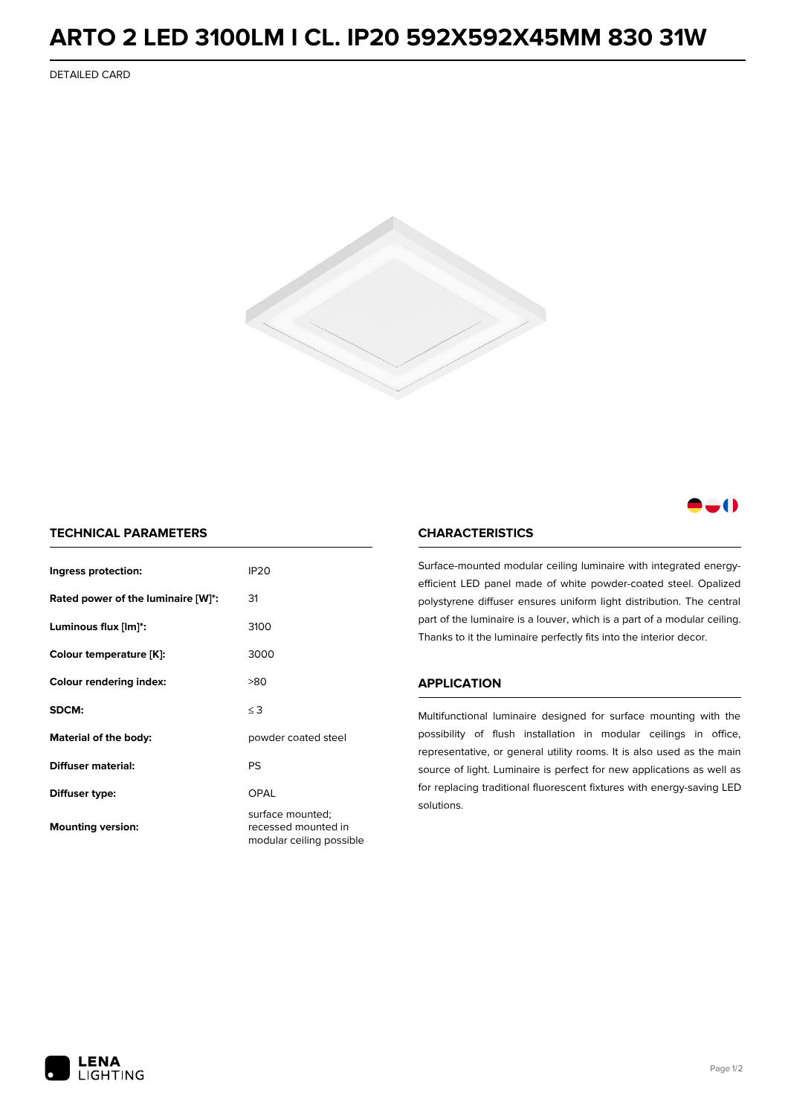## **ARTO 2 LED 3100LM I CL. IP20 592X592X45MM 830 31W**

DETAILED CARD



### -0

#### **TECHNICAL PARAMETERS**

| Ingress protection:                | <b>IP20</b>                                                         |  |
|------------------------------------|---------------------------------------------------------------------|--|
| Rated power of the luminaire [W]*: | 31                                                                  |  |
| Luminous flux [lm]*:               | 3100                                                                |  |
| Colour temperature [K]:            | 3000                                                                |  |
| <b>Colour rendering index:</b>     | >80                                                                 |  |
| SDCM:                              | $\leq 3$                                                            |  |
| Material of the body:              | powder coated steel                                                 |  |
| Diffuser material:                 | PS                                                                  |  |
| Diffuser type:                     | OPAL                                                                |  |
| <b>Mounting version:</b>           | surface mounted;<br>recessed mounted in<br>modular ceiling possible |  |

#### **CHARACTERISTICS**

Surface-mounted modular ceiling luminaire with integrated energyefficient LED panel made of white powder-coated steel. Opalized polystyrene diffuser ensures uniform light distribution. The central part of the luminaire is a louver, which is a part of a modular ceiling. Thanks to it the luminaire perfectly fits into the interior decor.

#### **APPLICATION**

Multifunctional luminaire designed for surface mounting with the possibility of flush installation in modular ceilings in office, representative, or general utility rooms. It is also used as the main source of light. Luminaire is perfect for new applications as well as for replacing traditional fluorescent fixtures with energy-saving LED solutions.